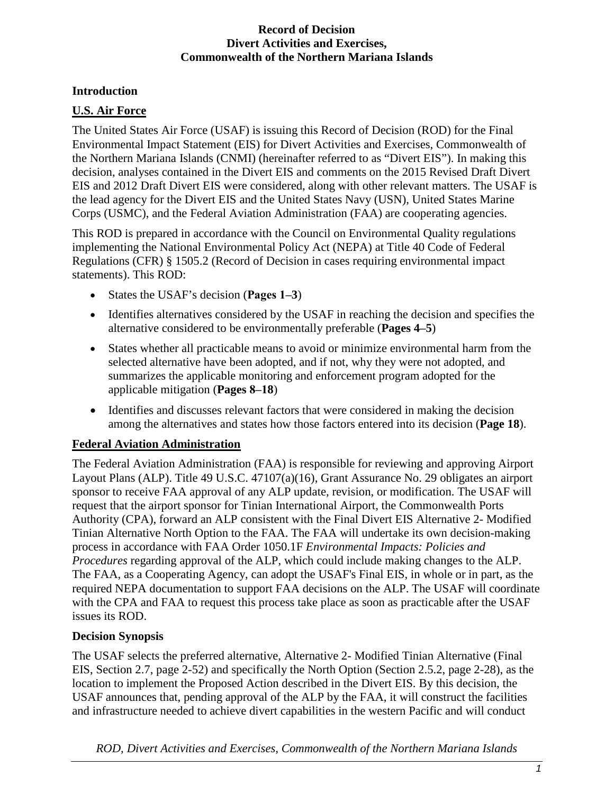## **Introduction**

## **U.S. Air Force**

The United States Air Force (USAF) is issuing this Record of Decision (ROD) for the Final Environmental Impact Statement (EIS) for Divert Activities and Exercises, Commonwealth of the Northern Mariana Islands (CNMI) (hereinafter referred to as "Divert EIS"). In making this decision, analyses contained in the Divert EIS and comments on the 2015 Revised Draft Divert EIS and 2012 Draft Divert EIS were considered, along with other relevant matters. The USAF is the lead agency for the Divert EIS and the United States Navy (USN), United States Marine Corps (USMC), and the Federal Aviation Administration (FAA) are cooperating agencies.

This ROD is prepared in accordance with the Council on Environmental Quality regulations implementing the National Environmental Policy Act (NEPA) at Title 40 Code of Federal Regulations (CFR) § 1505.2 (Record of Decision in cases requiring environmental impact statements). This ROD:

- States the USAF's decision (**Pages 1‒3**)
- Identifies alternatives considered by the USAF in reaching the decision and specifies the alternative considered to be environmentally preferable (**Pages 4‒5**)
- States whether all practicable means to avoid or minimize environmental harm from the selected alternative have been adopted, and if not, why they were not adopted, and summarizes the applicable monitoring and enforcement program adopted for the applicable mitigation (**Pages 8‒18**)
- Identifies and discusses relevant factors that were considered in making the decision among the alternatives and states how those factors entered into its decision (**Page 18**).

## **Federal Aviation Administration**

The Federal Aviation Administration (FAA) is responsible for reviewing and approving Airport Layout Plans (ALP). Title 49 U.S.C. 47107(a)(16), Grant Assurance No. 29 obligates an airport sponsor to receive FAA approval of any ALP update, revision, or modification. The USAF will request that the airport sponsor for Tinian International Airport, the Commonwealth Ports Authority (CPA), forward an ALP consistent with the Final Divert EIS Alternative 2- Modified Tinian Alternative North Option to the FAA. The FAA will undertake its own decision-making process in accordance with FAA Order 1050.1F *Environmental Impacts: Policies and Procedures* regarding approval of the ALP, which could include making changes to the ALP. The FAA, as a Cooperating Agency, can adopt the USAF's Final EIS, in whole or in part, as the required NEPA documentation to support FAA decisions on the ALP. The USAF will coordinate with the CPA and FAA to request this process take place as soon as practicable after the USAF issues its ROD.

## **Decision Synopsis**

The USAF selects the preferred alternative, Alternative 2- Modified Tinian Alternative (Final EIS, Section 2.7, page 2-52) and specifically the North Option (Section 2.5.2, page 2-28), as the location to implement the Proposed Action described in the Divert EIS. By this decision, the USAF announces that, pending approval of the ALP by the FAA, it will construct the facilities and infrastructure needed to achieve divert capabilities in the western Pacific and will conduct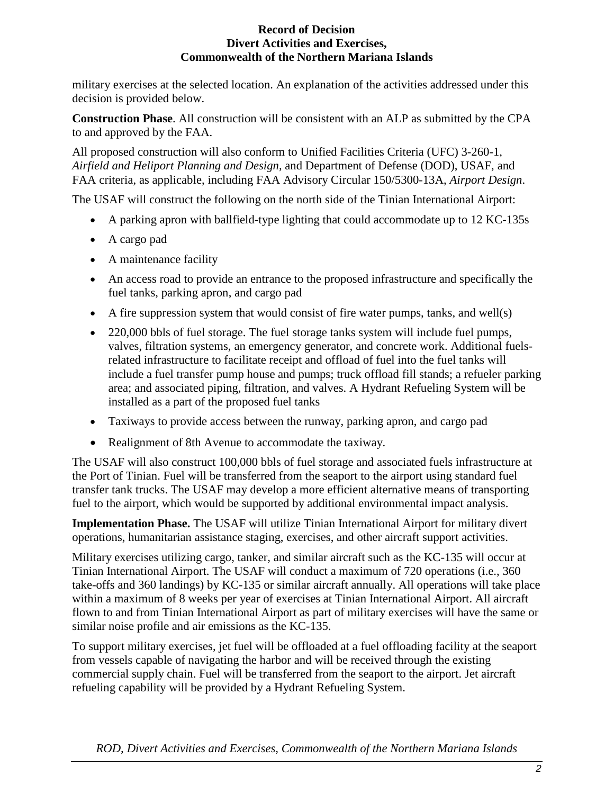military exercises at the selected location. An explanation of the activities addressed under this decision is provided below.

**Construction Phase**. All construction will be consistent with an ALP as submitted by the CPA to and approved by the FAA.

All proposed construction will also conform to Unified Facilities Criteria (UFC) 3-260-1, *Airfield and Heliport Planning and Design,* and Department of Defense (DOD), USAF, and FAA criteria, as applicable, including FAA Advisory Circular 150/5300-13A, *Airport Design*.

The USAF will construct the following on the north side of the Tinian International Airport:

- A parking apron with ballfield-type lighting that could accommodate up to 12 KC-135s
- A cargo pad
- A maintenance facility
- An access road to provide an entrance to the proposed infrastructure and specifically the fuel tanks, parking apron, and cargo pad
- A fire suppression system that would consist of fire water pumps, tanks, and well(s)
- 220,000 bbls of fuel storage. The fuel storage tanks system will include fuel pumps, valves, filtration systems, an emergency generator, and concrete work. Additional fuelsrelated infrastructure to facilitate receipt and offload of fuel into the fuel tanks will include a fuel transfer pump house and pumps; truck offload fill stands; a refueler parking area; and associated piping, filtration, and valves. A Hydrant Refueling System will be installed as a part of the proposed fuel tanks
- Taxiways to provide access between the runway, parking apron, and cargo pad
- Realignment of 8th Avenue to accommodate the taxiway.

The USAF will also construct 100,000 bbls of fuel storage and associated fuels infrastructure at the Port of Tinian. Fuel will be transferred from the seaport to the airport using standard fuel transfer tank trucks. The USAF may develop a more efficient alternative means of transporting fuel to the airport, which would be supported by additional environmental impact analysis.

**Implementation Phase.** The USAF will utilize Tinian International Airport for military divert operations, humanitarian assistance staging, exercises, and other aircraft support activities.

Military exercises utilizing cargo, tanker, and similar aircraft such as the KC-135 will occur at Tinian International Airport. The USAF will conduct a maximum of 720 operations (i.e., 360 take-offs and 360 landings) by KC-135 or similar aircraft annually. All operations will take place within a maximum of 8 weeks per year of exercises at Tinian International Airport. All aircraft flown to and from Tinian International Airport as part of military exercises will have the same or similar noise profile and air emissions as the KC-135.

To support military exercises, jet fuel will be offloaded at a fuel offloading facility at the seaport from vessels capable of navigating the harbor and will be received through the existing commercial supply chain. Fuel will be transferred from the seaport to the airport. Jet aircraft refueling capability will be provided by a Hydrant Refueling System.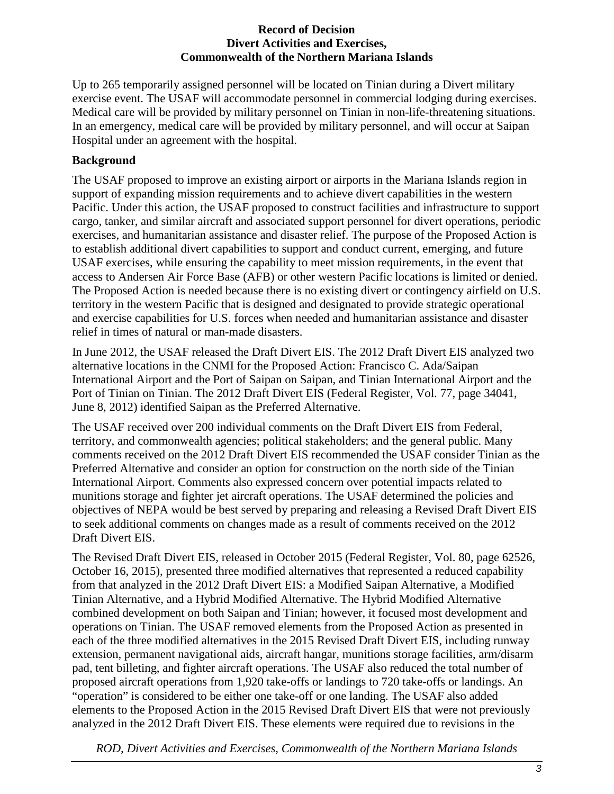Up to 265 temporarily assigned personnel will be located on Tinian during a Divert military exercise event. The USAF will accommodate personnel in commercial lodging during exercises. Medical care will be provided by military personnel on Tinian in non-life-threatening situations. In an emergency, medical care will be provided by military personnel, and will occur at Saipan Hospital under an agreement with the hospital.

# **Background**

The USAF proposed to improve an existing airport or airports in the Mariana Islands region in support of expanding mission requirements and to achieve divert capabilities in the western Pacific. Under this action, the USAF proposed to construct facilities and infrastructure to support cargo, tanker, and similar aircraft and associated support personnel for divert operations, periodic exercises, and humanitarian assistance and disaster relief. The purpose of the Proposed Action is to establish additional divert capabilities to support and conduct current, emerging, and future USAF exercises, while ensuring the capability to meet mission requirements, in the event that access to Andersen Air Force Base (AFB) or other western Pacific locations is limited or denied. The Proposed Action is needed because there is no existing divert or contingency airfield on U.S. territory in the western Pacific that is designed and designated to provide strategic operational and exercise capabilities for U.S. forces when needed and humanitarian assistance and disaster relief in times of natural or man-made disasters.

In June 2012, the USAF released the Draft Divert EIS. The 2012 Draft Divert EIS analyzed two alternative locations in the CNMI for the Proposed Action: Francisco C. Ada/Saipan International Airport and the Port of Saipan on Saipan, and Tinian International Airport and the Port of Tinian on Tinian. The 2012 Draft Divert EIS (Federal Register, Vol. 77, page 34041, June 8, 2012) identified Saipan as the Preferred Alternative.

The USAF received over 200 individual comments on the Draft Divert EIS from Federal, territory, and commonwealth agencies; political stakeholders; and the general public. Many comments received on the 2012 Draft Divert EIS recommended the USAF consider Tinian as the Preferred Alternative and consider an option for construction on the north side of the Tinian International Airport. Comments also expressed concern over potential impacts related to munitions storage and fighter jet aircraft operations. The USAF determined the policies and objectives of NEPA would be best served by preparing and releasing a Revised Draft Divert EIS to seek additional comments on changes made as a result of comments received on the 2012 Draft Divert EIS.

The Revised Draft Divert EIS, released in October 2015 (Federal Register, Vol. 80, page 62526, October 16, 2015), presented three modified alternatives that represented a reduced capability from that analyzed in the 2012 Draft Divert EIS: a Modified Saipan Alternative, a Modified Tinian Alternative, and a Hybrid Modified Alternative. The Hybrid Modified Alternative combined development on both Saipan and Tinian; however, it focused most development and operations on Tinian. The USAF removed elements from the Proposed Action as presented in each of the three modified alternatives in the 2015 Revised Draft Divert EIS, including runway extension, permanent navigational aids, aircraft hangar, munitions storage facilities, arm/disarm pad, tent billeting, and fighter aircraft operations. The USAF also reduced the total number of proposed aircraft operations from 1,920 take-offs or landings to 720 take-offs or landings. An "operation" is considered to be either one take-off or one landing. The USAF also added elements to the Proposed Action in the 2015 Revised Draft Divert EIS that were not previously analyzed in the 2012 Draft Divert EIS. These elements were required due to revisions in the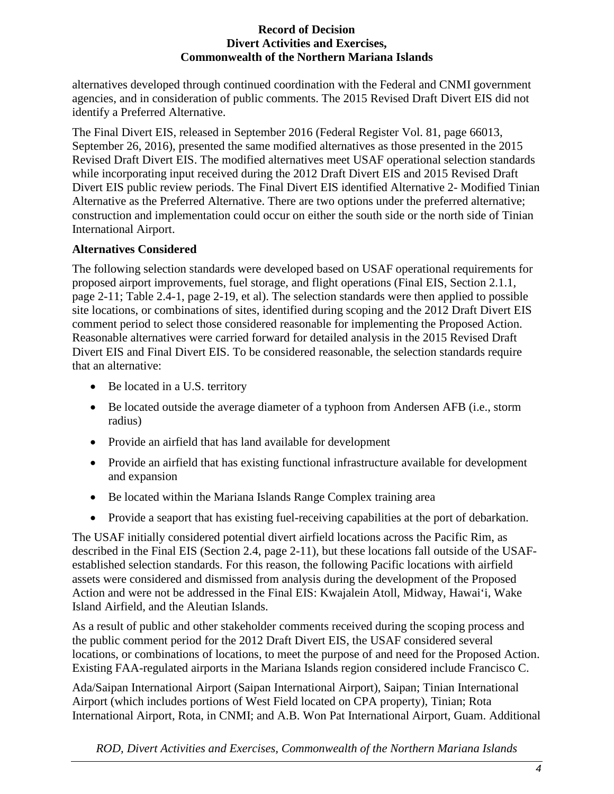alternatives developed through continued coordination with the Federal and CNMI government agencies, and in consideration of public comments. The 2015 Revised Draft Divert EIS did not identify a Preferred Alternative.

The Final Divert EIS, released in September 2016 (Federal Register Vol. 81, page 66013, September 26, 2016), presented the same modified alternatives as those presented in the 2015 Revised Draft Divert EIS. The modified alternatives meet USAF operational selection standards while incorporating input received during the 2012 Draft Divert EIS and 2015 Revised Draft Divert EIS public review periods. The Final Divert EIS identified Alternative 2- Modified Tinian Alternative as the Preferred Alternative. There are two options under the preferred alternative; construction and implementation could occur on either the south side or the north side of Tinian International Airport.

## **Alternatives Considered**

The following selection standards were developed based on USAF operational requirements for proposed airport improvements, fuel storage, and flight operations (Final EIS, Section 2.1.1, page 2-11; Table 2.4-1, page 2-19, et al). The selection standards were then applied to possible site locations, or combinations of sites, identified during scoping and the 2012 Draft Divert EIS comment period to select those considered reasonable for implementing the Proposed Action. Reasonable alternatives were carried forward for detailed analysis in the 2015 Revised Draft Divert EIS and Final Divert EIS. To be considered reasonable, the selection standards require that an alternative:

- Be located in a U.S. territory
- Be located outside the average diameter of a typhoon from Andersen AFB (i.e., storm radius)
- Provide an airfield that has land available for development
- Provide an airfield that has existing functional infrastructure available for development and expansion
- Be located within the Mariana Islands Range Complex training area
- Provide a seaport that has existing fuel-receiving capabilities at the port of debarkation.

The USAF initially considered potential divert airfield locations across the Pacific Rim, as described in the Final EIS (Section 2.4, page 2-11), but these locations fall outside of the USAFestablished selection standards. For this reason, the following Pacific locations with airfield assets were considered and dismissed from analysis during the development of the Proposed Action and were not be addressed in the Final EIS: Kwajalein Atoll, Midway, Hawai'i, Wake Island Airfield, and the Aleutian Islands.

As a result of public and other stakeholder comments received during the scoping process and the public comment period for the 2012 Draft Divert EIS, the USAF considered several locations, or combinations of locations, to meet the purpose of and need for the Proposed Action. Existing FAA-regulated airports in the Mariana Islands region considered include Francisco C.

Ada/Saipan International Airport (Saipan International Airport), Saipan; Tinian International Airport (which includes portions of West Field located on CPA property), Tinian; Rota International Airport, Rota, in CNMI; and A.B. Won Pat International Airport, Guam. Additional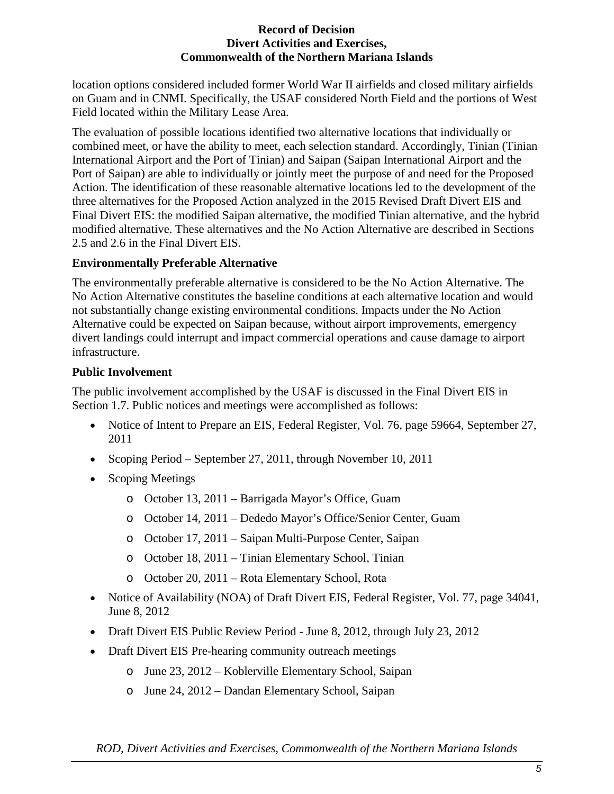location options considered included former World War II airfields and closed military airfields on Guam and in CNMI. Specifically, the USAF considered North Field and the portions of West Field located within the Military Lease Area.

The evaluation of possible locations identified two alternative locations that individually or combined meet, or have the ability to meet, each selection standard. Accordingly, Tinian (Tinian International Airport and the Port of Tinian) and Saipan (Saipan International Airport and the Port of Saipan) are able to individually or jointly meet the purpose of and need for the Proposed Action. The identification of these reasonable alternative locations led to the development of the three alternatives for the Proposed Action analyzed in the 2015 Revised Draft Divert EIS and Final Divert EIS: the modified Saipan alternative, the modified Tinian alternative, and the hybrid modified alternative. These alternatives and the No Action Alternative are described in Sections 2.5 and 2.6 in the Final Divert EIS.

## **Environmentally Preferable Alternative**

The environmentally preferable alternative is considered to be the No Action Alternative. The No Action Alternative constitutes the baseline conditions at each alternative location and would not substantially change existing environmental conditions. Impacts under the No Action Alternative could be expected on Saipan because, without airport improvements, emergency divert landings could interrupt and impact commercial operations and cause damage to airport infrastructure.

## **Public Involvement**

The public involvement accomplished by the USAF is discussed in the Final Divert EIS in Section 1.7. Public notices and meetings were accomplished as follows:

- Notice of Intent to Prepare an EIS, Federal Register, Vol. 76, page 59664, September 27, 2011
- Scoping Period September 27, 2011, through November 10, 2011
- Scoping Meetings
	- o October 13, 2011 Barrigada Mayor's Office, Guam
	- o October 14, 2011 Dededo Mayor's Office/Senior Center, Guam
	- o October 17, 2011 Saipan Multi-Purpose Center, Saipan
	- o October 18, 2011 Tinian Elementary School, Tinian
	- o October 20, 2011 Rota Elementary School, Rota
- Notice of Availability (NOA) of Draft Divert EIS, Federal Register, Vol. 77, page 34041, June 8, 2012
- Draft Divert EIS Public Review Period June 8, 2012, through July 23, 2012
- Draft Divert EIS Pre-hearing community outreach meetings
	- o June 23, 2012 Koblerville Elementary School, Saipan
	- o June 24, 2012 Dandan Elementary School, Saipan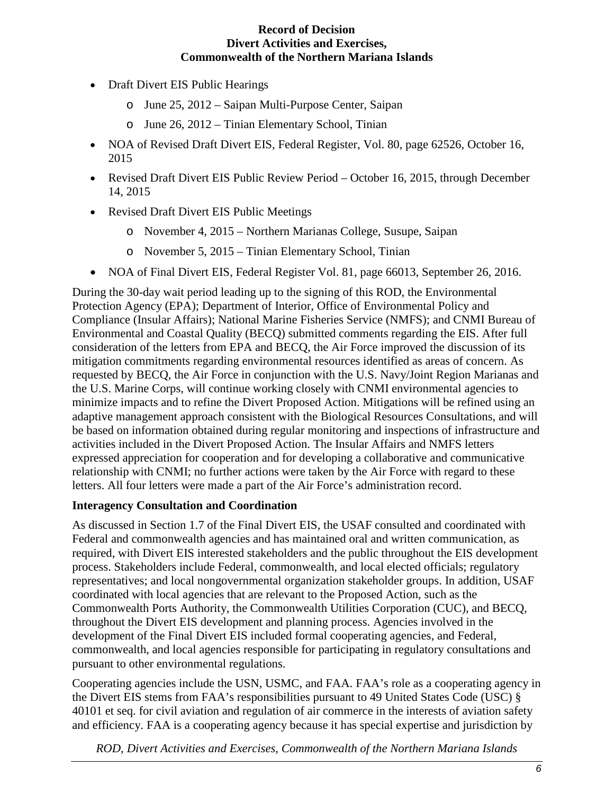- Draft Divert EIS Public Hearings
	- o June 25, 2012 Saipan Multi-Purpose Center, Saipan
	- o June 26, 2012 Tinian Elementary School, Tinian
- NOA of Revised Draft Divert EIS, Federal Register, Vol. 80, page 62526, October 16, 2015
- Revised Draft Divert EIS Public Review Period October 16, 2015, through December 14, 2015
- Revised Draft Divert EIS Public Meetings
	- o November 4, 2015 Northern Marianas College, Susupe, Saipan
	- o November 5, 2015 Tinian Elementary School, Tinian
- NOA of Final Divert EIS, Federal Register Vol. 81, page 66013, September 26, 2016.

During the 30-day wait period leading up to the signing of this ROD, the Environmental Protection Agency (EPA); Department of Interior, Office of Environmental Policy and Compliance (Insular Affairs); National Marine Fisheries Service (NMFS); and CNMI Bureau of Environmental and Coastal Quality (BECQ) submitted comments regarding the EIS. After full consideration of the letters from EPA and BECQ, the Air Force improved the discussion of its mitigation commitments regarding environmental resources identified as areas of concern. As requested by BECQ, the Air Force in conjunction with the U.S. Navy/Joint Region Marianas and the U.S. Marine Corps, will continue working closely with CNMI environmental agencies to minimize impacts and to refine the Divert Proposed Action. Mitigations will be refined using an adaptive management approach consistent with the Biological Resources Consultations, and will be based on information obtained during regular monitoring and inspections of infrastructure and activities included in the Divert Proposed Action. The Insular Affairs and NMFS letters expressed appreciation for cooperation and for developing a collaborative and communicative relationship with CNMI; no further actions were taken by the Air Force with regard to these letters. All four letters were made a part of the Air Force's administration record.

## **Interagency Consultation and Coordination**

As discussed in Section 1.7 of the Final Divert EIS, the USAF consulted and coordinated with Federal and commonwealth agencies and has maintained oral and written communication, as required, with Divert EIS interested stakeholders and the public throughout the EIS development process. Stakeholders include Federal, commonwealth, and local elected officials; regulatory representatives; and local nongovernmental organization stakeholder groups. In addition, USAF coordinated with local agencies that are relevant to the Proposed Action, such as the Commonwealth Ports Authority, the Commonwealth Utilities Corporation (CUC), and BECQ, throughout the Divert EIS development and planning process. Agencies involved in the development of the Final Divert EIS included formal cooperating agencies, and Federal, commonwealth, and local agencies responsible for participating in regulatory consultations and pursuant to other environmental regulations.

Cooperating agencies include the USN, USMC, and FAA. FAA's role as a cooperating agency in the Divert EIS stems from FAA's responsibilities pursuant to 49 United States Code (USC) § 40101 et seq. for civil aviation and regulation of air commerce in the interests of aviation safety and efficiency. FAA is a cooperating agency because it has special expertise and jurisdiction by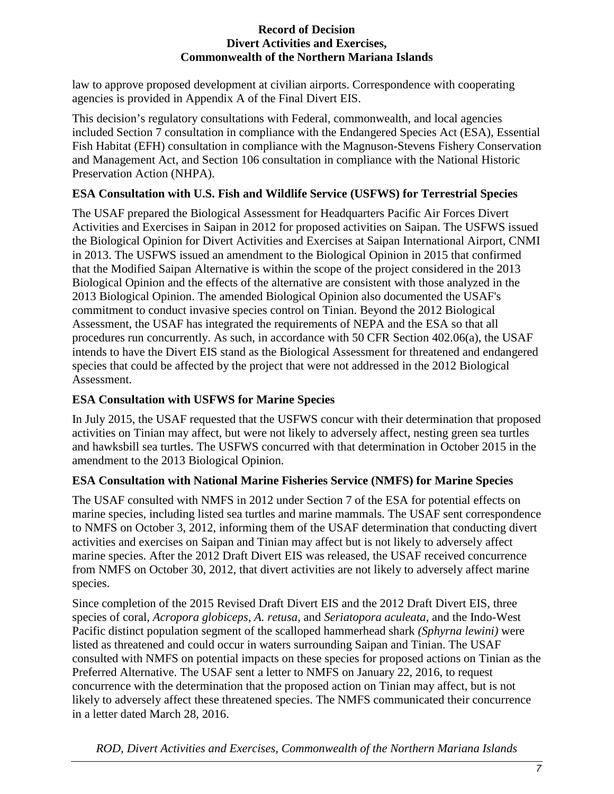law to approve proposed development at civilian airports. Correspondence with cooperating agencies is provided in Appendix A of the Final Divert EIS.

This decision's regulatory consultations with Federal, commonwealth, and local agencies included Section 7 consultation in compliance with the Endangered Species Act (ESA), Essential Fish Habitat (EFH) consultation in compliance with the Magnuson-Stevens Fishery Conservation and Management Act, and Section 106 consultation in compliance with the National Historic Preservation Action (NHPA).

# **ESA Consultation with U.S. Fish and Wildlife Service (USFWS) for Terrestrial Species**

The USAF prepared the Biological Assessment for Headquarters Pacific Air Forces Divert Activities and Exercises in Saipan in 2012 for proposed activities on Saipan. The USFWS issued the Biological Opinion for Divert Activities and Exercises at Saipan International Airport, CNMI in 2013. The USFWS issued an amendment to the Biological Opinion in 2015 that confirmed that the Modified Saipan Alternative is within the scope of the project considered in the 2013 Biological Opinion and the effects of the alternative are consistent with those analyzed in the 2013 Biological Opinion. The amended Biological Opinion also documented the USAF's commitment to conduct invasive species control on Tinian. Beyond the 2012 Biological Assessment, the USAF has integrated the requirements of NEPA and the ESA so that all procedures run concurrently. As such, in accordance with 50 CFR Section 402.06(a), the USAF intends to have the Divert EIS stand as the Biological Assessment for threatened and endangered species that could be affected by the project that were not addressed in the 2012 Biological Assessment.

# **ESA Consultation with USFWS for Marine Species**

In July 2015, the USAF requested that the USFWS concur with their determination that proposed activities on Tinian may affect, but were not likely to adversely affect, nesting green sea turtles and hawksbill sea turtles. The USFWS concurred with that determination in October 2015 in the amendment to the 2013 Biological Opinion.

## **ESA Consultation with National Marine Fisheries Service (NMFS) for Marine Species**

The USAF consulted with NMFS in 2012 under Section 7 of the ESA for potential effects on marine species, including listed sea turtles and marine mammals. The USAF sent correspondence to NMFS on October 3, 2012, informing them of the USAF determination that conducting divert activities and exercises on Saipan and Tinian may affect but is not likely to adversely affect marine species. After the 2012 Draft Divert EIS was released, the USAF received concurrence from NMFS on October 30, 2012, that divert activities are not likely to adversely affect marine species.

Since completion of the 2015 Revised Draft Divert EIS and the 2012 Draft Divert EIS, three species of coral, *Acropora globiceps*, *A. retusa*, and *Seriatopora aculeata*, and the Indo-West Pacific distinct population segment of the scalloped hammerhead shark *(Sphyrna lewini)* were listed as threatened and could occur in waters surrounding Saipan and Tinian. The USAF consulted with NMFS on potential impacts on these species for proposed actions on Tinian as the Preferred Alternative. The USAF sent a letter to NMFS on January 22, 2016, to request concurrence with the determination that the proposed action on Tinian may affect, but is not likely to adversely affect these threatened species. The NMFS communicated their concurrence in a letter dated March 28, 2016.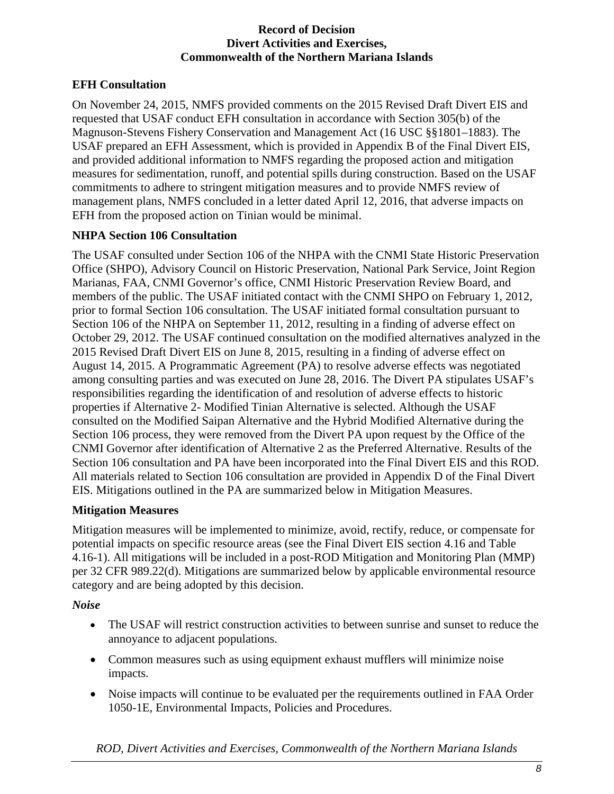# **EFH Consultation**

On November 24, 2015, NMFS provided comments on the 2015 Revised Draft Divert EIS and requested that USAF conduct EFH consultation in accordance with Section 305(b) of the Magnuson-Stevens Fishery Conservation and Management Act (16 USC §§1801–1883). The USAF prepared an EFH Assessment, which is provided in Appendix B of the Final Divert EIS, and provided additional information to NMFS regarding the proposed action and mitigation measures for sedimentation, runoff, and potential spills during construction. Based on the USAF commitments to adhere to stringent mitigation measures and to provide NMFS review of management plans, NMFS concluded in a letter dated April 12, 2016, that adverse impacts on EFH from the proposed action on Tinian would be minimal.

## **NHPA Section 106 Consultation**

The USAF consulted under Section 106 of the NHPA with the CNMI State Historic Preservation Office (SHPO), Advisory Council on Historic Preservation, National Park Service, Joint Region Marianas, FAA, CNMI Governor's office, CNMI Historic Preservation Review Board, and members of the public. The USAF initiated contact with the CNMI SHPO on February 1, 2012, prior to formal Section 106 consultation. The USAF initiated formal consultation pursuant to Section 106 of the NHPA on September 11, 2012, resulting in a finding of adverse effect on October 29, 2012. The USAF continued consultation on the modified alternatives analyzed in the 2015 Revised Draft Divert EIS on June 8, 2015, resulting in a finding of adverse effect on August 14, 2015. A Programmatic Agreement (PA) to resolve adverse effects was negotiated among consulting parties and was executed on June 28, 2016. The Divert PA stipulates USAF's responsibilities regarding the identification of and resolution of adverse effects to historic properties if Alternative 2- Modified Tinian Alternative is selected. Although the USAF consulted on the Modified Saipan Alternative and the Hybrid Modified Alternative during the Section 106 process, they were removed from the Divert PA upon request by the Office of the CNMI Governor after identification of Alternative 2 as the Preferred Alternative. Results of the Section 106 consultation and PA have been incorporated into the Final Divert EIS and this ROD. All materials related to Section 106 consultation are provided in Appendix D of the Final Divert EIS. Mitigations outlined in the PA are summarized below in Mitigation Measures.

## **Mitigation Measures**

Mitigation measures will be implemented to minimize, avoid, rectify, reduce, or compensate for potential impacts on specific resource areas (see the Final Divert EIS section 4.16 and Table 4.16-1). All mitigations will be included in a post-ROD Mitigation and Monitoring Plan (MMP) per 32 CFR 989.22(d). Mitigations are summarized below by applicable environmental resource category and are being adopted by this decision.

## *Noise*

- The USAF will restrict construction activities to between sunrise and sunset to reduce the annoyance to adjacent populations.
- Common measures such as using equipment exhaust mufflers will minimize noise impacts.
- Noise impacts will continue to be evaluated per the requirements outlined in FAA Order 1050-1E, Environmental Impacts, Policies and Procedures.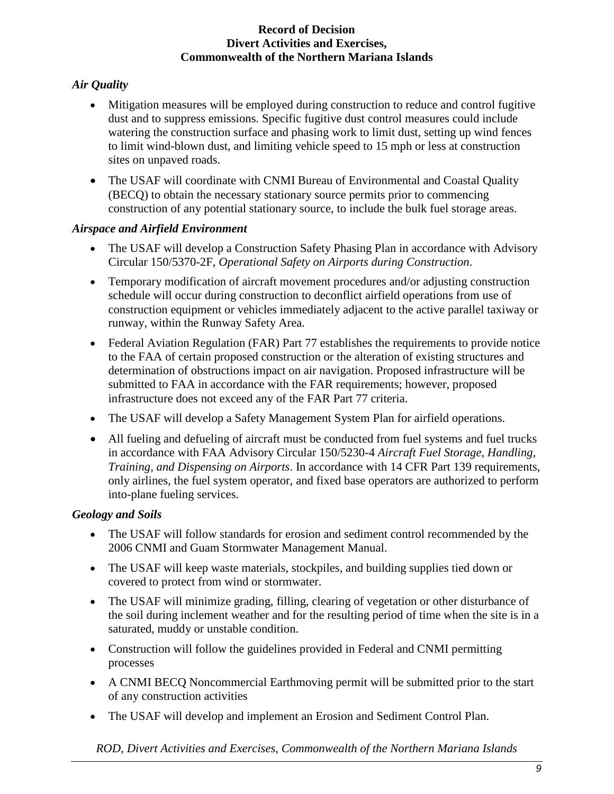# *Air Quality*

- Mitigation measures will be employed during construction to reduce and control fugitive dust and to suppress emissions. Specific fugitive dust control measures could include watering the construction surface and phasing work to limit dust, setting up wind fences to limit wind-blown dust, and limiting vehicle speed to 15 mph or less at construction sites on unpaved roads.
- The USAF will coordinate with CNMI Bureau of Environmental and Coastal Quality (BECQ) to obtain the necessary stationary source permits prior to commencing construction of any potential stationary source, to include the bulk fuel storage areas.

# *Airspace and Airfield Environment*

- The USAF will develop a Construction Safety Phasing Plan in accordance with Advisory Circular 150/5370-2F, *Operational Safety on Airports during Construction*.
- Temporary modification of aircraft movement procedures and/or adjusting construction schedule will occur during construction to deconflict airfield operations from use of construction equipment or vehicles immediately adjacent to the active parallel taxiway or runway, within the Runway Safety Area.
- Federal Aviation Regulation (FAR) Part 77 establishes the requirements to provide notice to the FAA of certain proposed construction or the alteration of existing structures and determination of obstructions impact on air navigation. Proposed infrastructure will be submitted to FAA in accordance with the FAR requirements; however, proposed infrastructure does not exceed any of the FAR Part 77 criteria.
- The USAF will develop a Safety Management System Plan for airfield operations.
- All fueling and defueling of aircraft must be conducted from fuel systems and fuel trucks in accordance with FAA Advisory Circular 150/5230-4 *Aircraft Fuel Storage, Handling, Training, and Dispensing on Airports*. In accordance with 14 CFR Part 139 requirements, only airlines, the fuel system operator, and fixed base operators are authorized to perform into-plane fueling services.

# *Geology and Soils*

- The USAF will follow standards for erosion and sediment control recommended by the 2006 CNMI and Guam Stormwater Management Manual.
- The USAF will keep waste materials, stockpiles, and building supplies tied down or covered to protect from wind or stormwater.
- The USAF will minimize grading, filling, clearing of vegetation or other disturbance of the soil during inclement weather and for the resulting period of time when the site is in a saturated, muddy or unstable condition.
- Construction will follow the guidelines provided in Federal and CNMI permitting processes
- A CNMI BECQ Noncommercial Earthmoving permit will be submitted prior to the start of any construction activities
- The USAF will develop and implement an Erosion and Sediment Control Plan.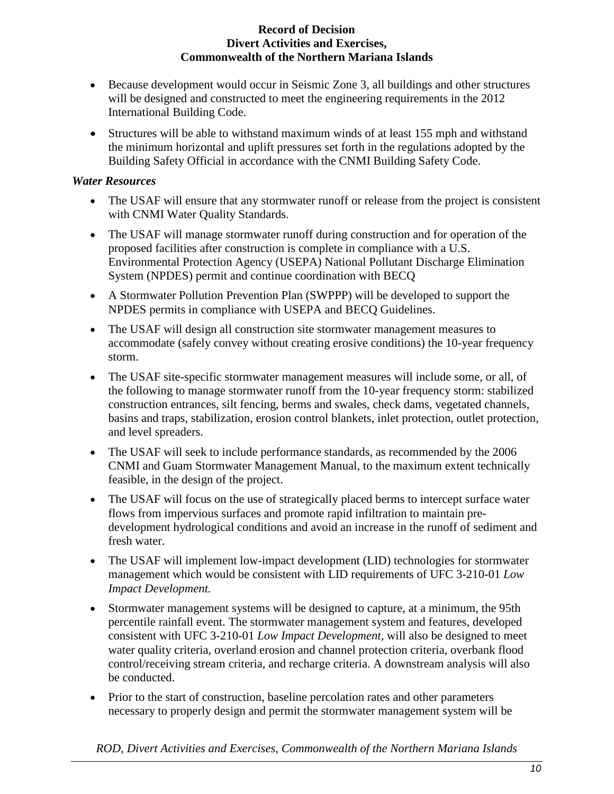- Because development would occur in Seismic Zone 3, all buildings and other structures will be designed and constructed to meet the engineering requirements in the 2012 International Building Code.
- Structures will be able to withstand maximum winds of at least 155 mph and withstand the minimum horizontal and uplift pressures set forth in the regulations adopted by the Building Safety Official in accordance with the CNMI Building Safety Code.

## *Water Resources*

- The USAF will ensure that any stormwater runoff or release from the project is consistent with CNMI Water Quality Standards.
- The USAF will manage stormwater runoff during construction and for operation of the proposed facilities after construction is complete in compliance with a U.S. Environmental Protection Agency (USEPA) National Pollutant Discharge Elimination System (NPDES) permit and continue coordination with BECQ
- A Stormwater Pollution Prevention Plan (SWPPP) will be developed to support the NPDES permits in compliance with USEPA and BECQ Guidelines.
- The USAF will design all construction site stormwater management measures to accommodate (safely convey without creating erosive conditions) the 10-year frequency storm.
- The USAF site-specific stormwater management measures will include some, or all, of the following to manage stormwater runoff from the 10-year frequency storm: stabilized construction entrances, silt fencing, berms and swales, check dams, vegetated channels, basins and traps, stabilization, erosion control blankets, inlet protection, outlet protection, and level spreaders.
- The USAF will seek to include performance standards, as recommended by the 2006 CNMI and Guam Stormwater Management Manual, to the maximum extent technically feasible, in the design of the project.
- The USAF will focus on the use of strategically placed berms to intercept surface water flows from impervious surfaces and promote rapid infiltration to maintain predevelopment hydrological conditions and avoid an increase in the runoff of sediment and fresh water.
- The USAF will implement low-impact development (LID) technologies for stormwater management which would be consistent with LID requirements of UFC 3-210-01 *Low Impact Development.*
- Stormwater management systems will be designed to capture, at a minimum, the 95th percentile rainfall event. The stormwater management system and features, developed consistent with UFC 3-210-01 *Low Impact Development,* will also be designed to meet water quality criteria, overland erosion and channel protection criteria, overbank flood control/receiving stream criteria, and recharge criteria. A downstream analysis will also be conducted.
- Prior to the start of construction, baseline percolation rates and other parameters necessary to properly design and permit the stormwater management system will be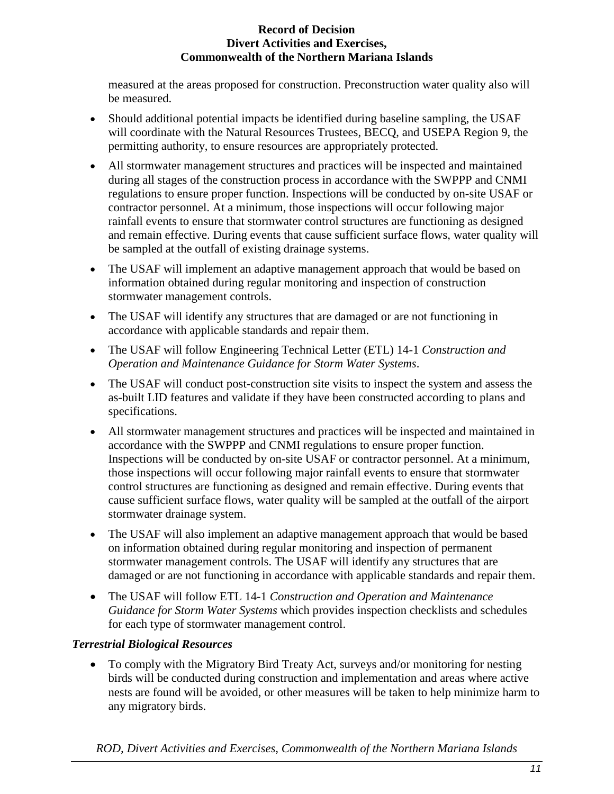measured at the areas proposed for construction. Preconstruction water quality also will be measured.

- Should additional potential impacts be identified during baseline sampling, the USAF will coordinate with the Natural Resources Trustees, BECQ, and USEPA Region 9, the permitting authority, to ensure resources are appropriately protected.
- All stormwater management structures and practices will be inspected and maintained during all stages of the construction process in accordance with the SWPPP and CNMI regulations to ensure proper function. Inspections will be conducted by on-site USAF or contractor personnel. At a minimum, those inspections will occur following major rainfall events to ensure that stormwater control structures are functioning as designed and remain effective. During events that cause sufficient surface flows, water quality will be sampled at the outfall of existing drainage systems.
- The USAF will implement an adaptive management approach that would be based on information obtained during regular monitoring and inspection of construction stormwater management controls.
- The USAF will identify any structures that are damaged or are not functioning in accordance with applicable standards and repair them.
- The USAF will follow Engineering Technical Letter (ETL) 14-1 *Construction and Operation and Maintenance Guidance for Storm Water Systems*.
- The USAF will conduct post-construction site visits to inspect the system and assess the as-built LID features and validate if they have been constructed according to plans and specifications.
- All stormwater management structures and practices will be inspected and maintained in accordance with the SWPPP and CNMI regulations to ensure proper function. Inspections will be conducted by on-site USAF or contractor personnel. At a minimum, those inspections will occur following major rainfall events to ensure that stormwater control structures are functioning as designed and remain effective. During events that cause sufficient surface flows, water quality will be sampled at the outfall of the airport stormwater drainage system.
- The USAF will also implement an adaptive management approach that would be based on information obtained during regular monitoring and inspection of permanent stormwater management controls. The USAF will identify any structures that are damaged or are not functioning in accordance with applicable standards and repair them.
- The USAF will follow ETL 14-1 *Construction and Operation and Maintenance Guidance for Storm Water Systems* which provides inspection checklists and schedules for each type of stormwater management control.

# *Terrestrial Biological Resources*

• To comply with the Migratory Bird Treaty Act, surveys and/or monitoring for nesting birds will be conducted during construction and implementation and areas where active nests are found will be avoided, or other measures will be taken to help minimize harm to any migratory birds.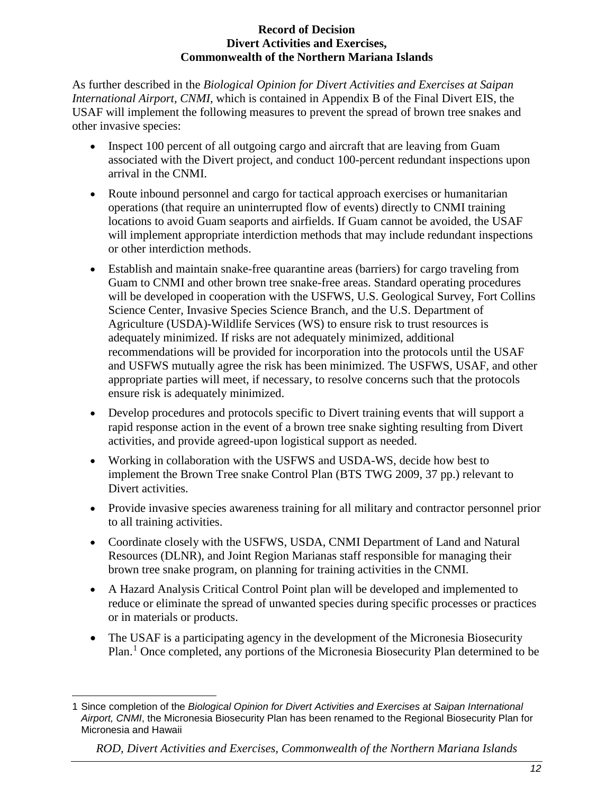As further described in the *Biological Opinion for Divert Activities and Exercises at Saipan International Airport, CNMI*, which is contained in Appendix B of the Final Divert EIS, the USAF will implement the following measures to prevent the spread of brown tree snakes and other invasive species:

- Inspect 100 percent of all outgoing cargo and aircraft that are leaving from Guam associated with the Divert project, and conduct 100-percent redundant inspections upon arrival in the CNMI.
- Route inbound personnel and cargo for tactical approach exercises or humanitarian operations (that require an uninterrupted flow of events) directly to CNMI training locations to avoid Guam seaports and airfields. If Guam cannot be avoided, the USAF will implement appropriate interdiction methods that may include redundant inspections or other interdiction methods.
- Establish and maintain snake-free quarantine areas (barriers) for cargo traveling from Guam to CNMI and other brown tree snake-free areas. Standard operating procedures will be developed in cooperation with the USFWS, U.S. Geological Survey, Fort Collins Science Center, Invasive Species Science Branch, and the U.S. Department of Agriculture (USDA)-Wildlife Services (WS) to ensure risk to trust resources is adequately minimized. If risks are not adequately minimized, additional recommendations will be provided for incorporation into the protocols until the USAF and USFWS mutually agree the risk has been minimized. The USFWS, USAF, and other appropriate parties will meet, if necessary, to resolve concerns such that the protocols ensure risk is adequately minimized.
- Develop procedures and protocols specific to Divert training events that will support a rapid response action in the event of a brown tree snake sighting resulting from Divert activities, and provide agreed-upon logistical support as needed.
- Working in collaboration with the USFWS and USDA-WS, decide how best to implement the Brown Tree snake Control Plan (BTS TWG 2009, 37 pp.) relevant to Divert activities.
- Provide invasive species awareness training for all military and contractor personnel prior to all training activities.
- Coordinate closely with the USFWS, USDA, CNMI Department of Land and Natural Resources (DLNR), and Joint Region Marianas staff responsible for managing their brown tree snake program, on planning for training activities in the CNMI.
- A Hazard Analysis Critical Control Point plan will be developed and implemented to reduce or eliminate the spread of unwanted species during specific processes or practices or in materials or products.
- The USAF is a participating agency in the development of the Micronesia Biosecurity Plan.<sup>[1](#page-11-0)</sup> Once completed, any portions of the Micronesia Biosecurity Plan determined to be

<span id="page-11-0"></span> $\overline{a}$ 1 Since completion of the *Biological Opinion for Divert Activities and Exercises at Saipan International Airport, CNMI*, the Micronesia Biosecurity Plan has been renamed to the Regional Biosecurity Plan for Micronesia and Hawaii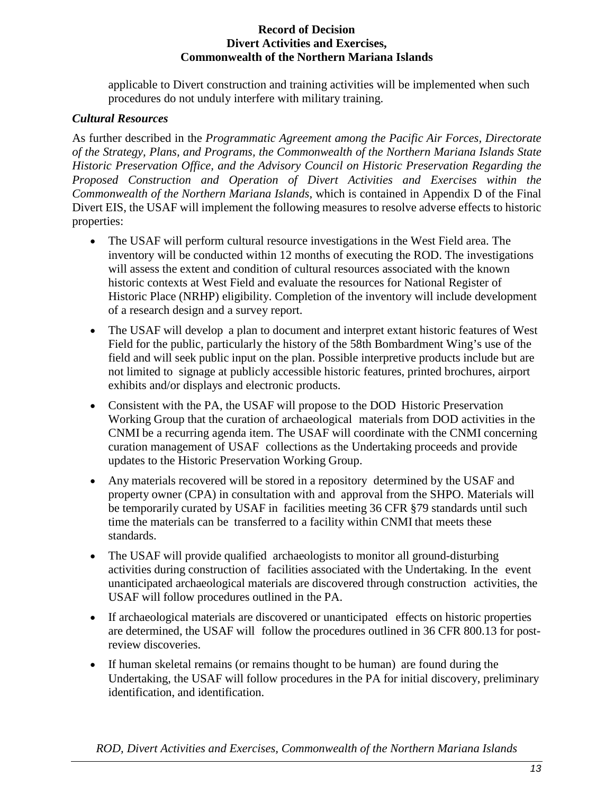applicable to Divert construction and training activities will be implemented when such procedures do not unduly interfere with military training.

## *Cultural Resources*

As further described in the *Programmatic Agreement among the Pacific Air Forces, Directorate of the Strategy, Plans, and Programs, the Commonwealth of the Northern Mariana Islands State Historic Preservation Office, and the Advisory Council on Historic Preservation Regarding the Proposed Construction and Operation of Divert Activities and Exercises within the Commonwealth of the Northern Mariana Islands,* which is contained in Appendix D of the Final Divert EIS, the USAF will implement the following measures to resolve adverse effects to historic properties:

- The USAF will perform cultural resource investigations in the West Field area. The inventory will be conducted within 12 months of executing the ROD. The investigations will assess the extent and condition of cultural resources associated with the known historic contexts at West Field and evaluate the resources for National Register of Historic Place (NRHP) eligibility. Completion of the inventory will include development of a research design and a survey report.
- The USAF will develop a plan to document and interpret extant historic features of West Field for the public, particularly the history of the 58th Bombardment Wing's use of the field and will seek public input on the plan. Possible interpretive products include but are not limited to signage at publicly accessible historic features, printed brochures, airport exhibits and/or displays and electronic products.
- Consistent with the PA, the USAF will propose to the DOD Historic Preservation Working Group that the curation of archaeological materials from DOD activities in the CNMI be a recurring agenda item. The USAF will coordinate with the CNMI concerning curation management of USAF collections as the Undertaking proceeds and provide updates to the Historic Preservation Working Group.
- Any materials recovered will be stored in a repository determined by the USAF and property owner (CPA) in consultation with and approval from the SHPO. Materials will be temporarily curated by USAF in facilities meeting 36 CFR §79 standards until such time the materials can be transferred to a facility within CNMI that meets these standards.
- The USAF will provide qualified archaeologists to monitor all ground-disturbing activities during construction of facilities associated with the Undertaking. In the event unanticipated archaeological materials are discovered through construction activities, the USAF will follow procedures outlined in the PA.
- If archaeological materials are discovered or unanticipated effects on historic properties are determined, the USAF will follow the procedures outlined in 36 CFR 800.13 for postreview discoveries.
- If human skeletal remains (or remains thought to be human) are found during the Undertaking, the USAF will follow procedures in the PA for initial discovery, preliminary identification, and identification.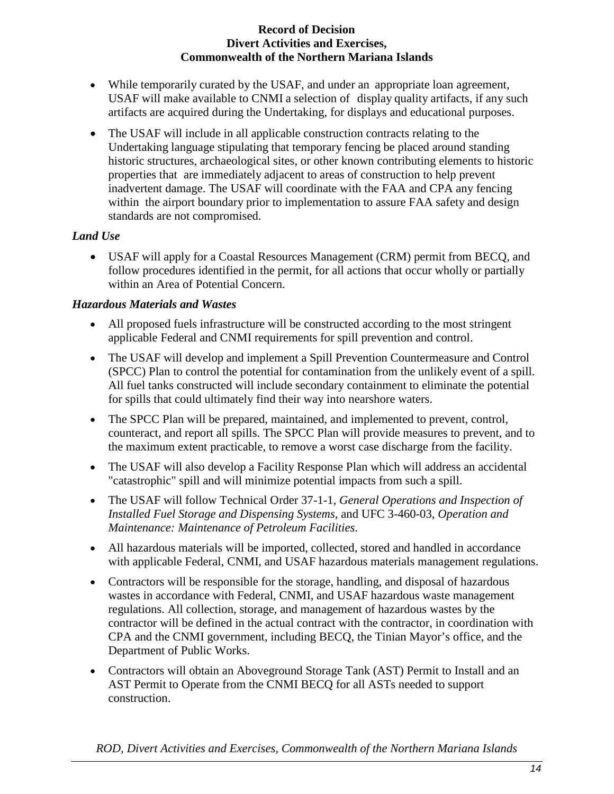- While temporarily curated by the USAF, and under an appropriate loan agreement, USAF will make available to CNMI a selection of display quality artifacts, if any such artifacts are acquired during the Undertaking, for displays and educational purposes.
- The USAF will include in all applicable construction contracts relating to the Undertaking language stipulating that temporary fencing be placed around standing historic structures, archaeological sites, or other known contributing elements to historic properties that are immediately adjacent to areas of construction to help prevent inadvertent damage. The USAF will coordinate with the FAA and CPA any fencing within the airport boundary prior to implementation to assure FAA safety and design standards are not compromised.

## *Land Use*

• USAF will apply for a Coastal Resources Management (CRM) permit from BECQ, and follow procedures identified in the permit, for all actions that occur wholly or partially within an Area of Potential Concern.

## *Hazardous Materials and Wastes*

- All proposed fuels infrastructure will be constructed according to the most stringent applicable Federal and CNMI requirements for spill prevention and control.
- The USAF will develop and implement a Spill Prevention Countermeasure and Control (SPCC) Plan to control the potential for contamination from the unlikely event of a spill. All fuel tanks constructed will include secondary containment to eliminate the potential for spills that could ultimately find their way into nearshore waters.
- The SPCC Plan will be prepared, maintained, and implemented to prevent, control, counteract, and report all spills. The SPCC Plan will provide measures to prevent, and to the maximum extent practicable, to remove a worst case discharge from the facility.
- The USAF will also develop a Facility Response Plan which will address an accidental "catastrophic" spill and will minimize potential impacts from such a spill.
- The USAF will follow Technical Order 37-1-1, *General Operations and Inspection of Installed Fuel Storage and Dispensing Systems,* and UFC 3-460-03, *Operation and Maintenance: Maintenance of Petroleum Facilities*.
- All hazardous materials will be imported, collected, stored and handled in accordance with applicable Federal, CNMI, and USAF hazardous materials management regulations.
- Contractors will be responsible for the storage, handling, and disposal of hazardous wastes in accordance with Federal, CNMI, and USAF hazardous waste management regulations. All collection, storage, and management of hazardous wastes by the contractor will be defined in the actual contract with the contractor, in coordination with CPA and the CNMI government, including BECQ, the Tinian Mayor's office, and the Department of Public Works.
- Contractors will obtain an Aboveground Storage Tank (AST) Permit to Install and an AST Permit to Operate from the CNMI BECQ for all ASTs needed to support construction.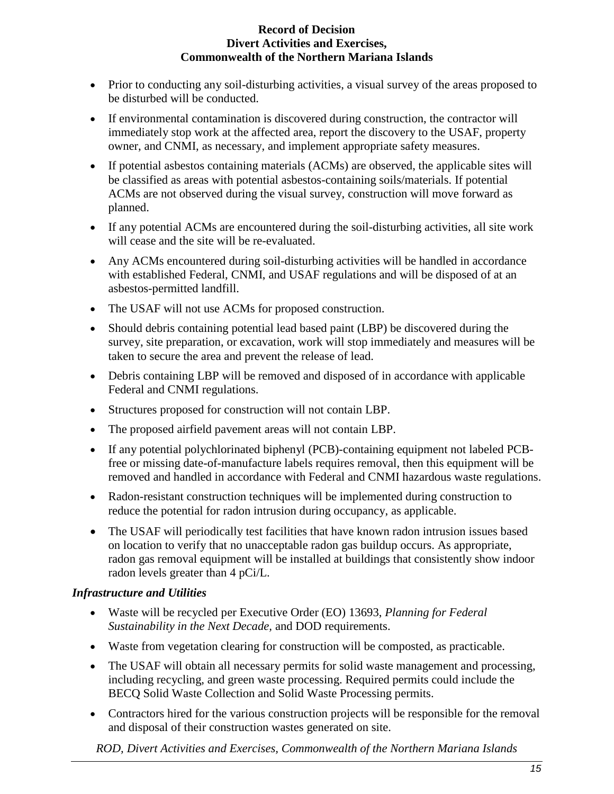- Prior to conducting any soil-disturbing activities, a visual survey of the areas proposed to be disturbed will be conducted.
- If environmental contamination is discovered during construction, the contractor will immediately stop work at the affected area, report the discovery to the USAF, property owner, and CNMI, as necessary, and implement appropriate safety measures.
- If potential asbestos containing materials (ACMs) are observed, the applicable sites will be classified as areas with potential asbestos-containing soils/materials. If potential ACMs are not observed during the visual survey, construction will move forward as planned.
- If any potential ACMs are encountered during the soil-disturbing activities, all site work will cease and the site will be re-evaluated.
- Any ACMs encountered during soil-disturbing activities will be handled in accordance with established Federal, CNMI, and USAF regulations and will be disposed of at an asbestos-permitted landfill.
- The USAF will not use ACMs for proposed construction.
- Should debris containing potential lead based paint (LBP) be discovered during the survey, site preparation, or excavation, work will stop immediately and measures will be taken to secure the area and prevent the release of lead.
- Debris containing LBP will be removed and disposed of in accordance with applicable Federal and CNMI regulations.
- Structures proposed for construction will not contain LBP.
- The proposed airfield pavement areas will not contain LBP.
- If any potential polychlorinated biphenyl (PCB)-containing equipment not labeled PCBfree or missing date-of-manufacture labels requires removal, then this equipment will be removed and handled in accordance with Federal and CNMI hazardous waste regulations.
- Radon-resistant construction techniques will be implemented during construction to reduce the potential for radon intrusion during occupancy, as applicable.
- The USAF will periodically test facilities that have known radon intrusion issues based on location to verify that no unacceptable radon gas buildup occurs. As appropriate, radon gas removal equipment will be installed at buildings that consistently show indoor radon levels greater than 4 pCi/L.

## *Infrastructure and Utilities*

- Waste will be recycled per Executive Order (EO) 13693, *Planning for Federal Sustainability in the Next Decade,* and DOD requirements.
- Waste from vegetation clearing for construction will be composted, as practicable.
- The USAF will obtain all necessary permits for solid waste management and processing, including recycling, and green waste processing. Required permits could include the BECQ Solid Waste Collection and Solid Waste Processing permits.
- Contractors hired for the various construction projects will be responsible for the removal and disposal of their construction wastes generated on site.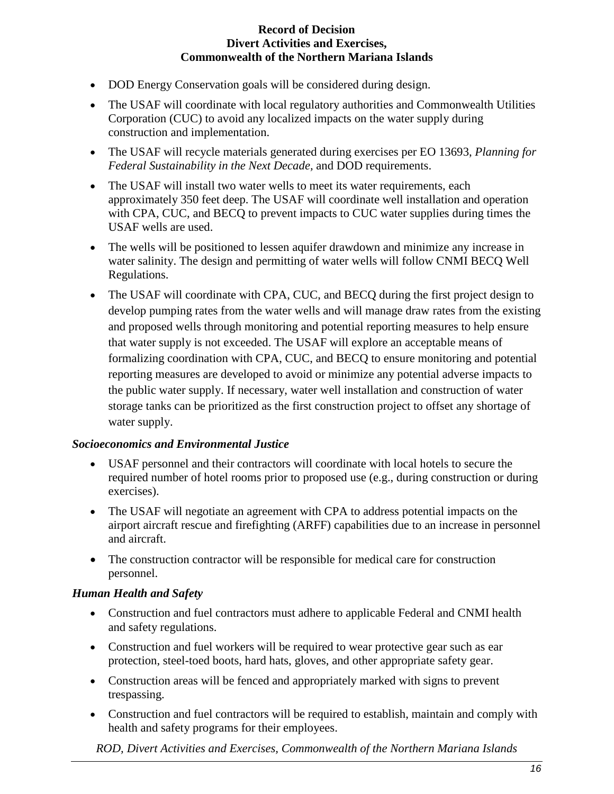- DOD Energy Conservation goals will be considered during design.
- The USAF will coordinate with local regulatory authorities and Commonwealth Utilities Corporation (CUC) to avoid any localized impacts on the water supply during construction and implementation.
- The USAF will recycle materials generated during exercises per EO 13693, *Planning for Federal Sustainability in the Next Decade,* and DOD requirements.
- The USAF will install two water wells to meet its water requirements, each approximately 350 feet deep. The USAF will coordinate well installation and operation with CPA, CUC, and BECQ to prevent impacts to CUC water supplies during times the USAF wells are used.
- The wells will be positioned to lessen aquifer drawdown and minimize any increase in water salinity. The design and permitting of water wells will follow CNMI BECQ Well Regulations.
- The USAF will coordinate with CPA, CUC, and BECO during the first project design to develop pumping rates from the water wells and will manage draw rates from the existing and proposed wells through monitoring and potential reporting measures to help ensure that water supply is not exceeded. The USAF will explore an acceptable means of formalizing coordination with CPA, CUC, and BECQ to ensure monitoring and potential reporting measures are developed to avoid or minimize any potential adverse impacts to the public water supply. If necessary, water well installation and construction of water storage tanks can be prioritized as the first construction project to offset any shortage of water supply.

## *Socioeconomics and Environmental Justice*

- USAF personnel and their contractors will coordinate with local hotels to secure the required number of hotel rooms prior to proposed use (e.g., during construction or during exercises).
- The USAF will negotiate an agreement with CPA to address potential impacts on the airport aircraft rescue and firefighting (ARFF) capabilities due to an increase in personnel and aircraft.
- The construction contractor will be responsible for medical care for construction personnel.

# *Human Health and Safety*

- Construction and fuel contractors must adhere to applicable Federal and CNMI health and safety regulations.
- Construction and fuel workers will be required to wear protective gear such as ear protection, steel-toed boots, hard hats, gloves, and other appropriate safety gear.
- Construction areas will be fenced and appropriately marked with signs to prevent trespassing.
- Construction and fuel contractors will be required to establish, maintain and comply with health and safety programs for their employees.